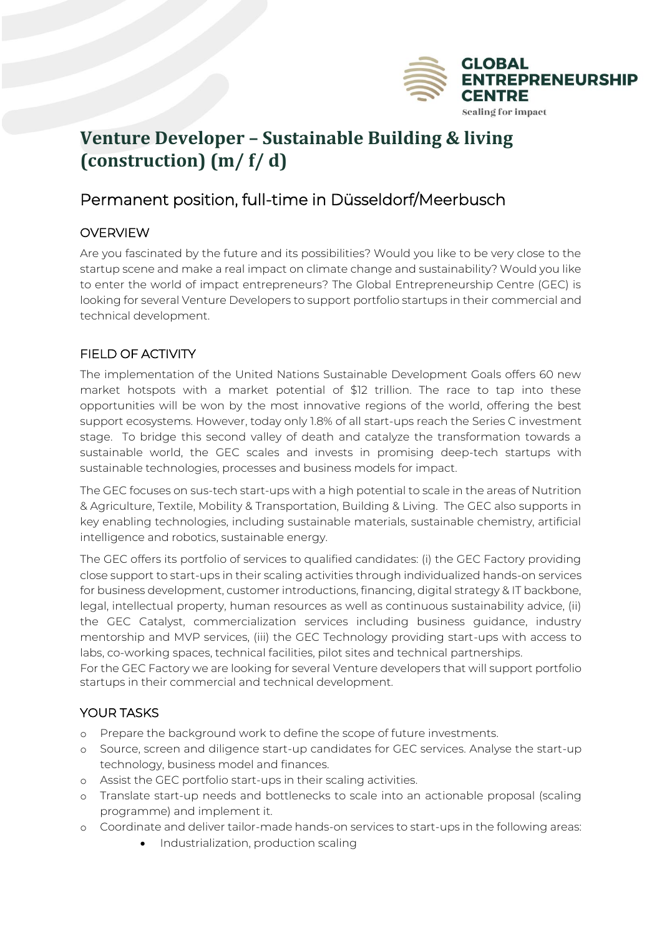

# **Venture Developer – Sustainable Building & living (construction) (m/ f/ d)**

# Permanent position, full-time in Düsseldorf/Meerbusch

### **OVERVIEW**

Are you fascinated by the future and its possibilities? Would you like to be very close to the startup scene and make a real impact on climate change and sustainability? Would you like to enter the world of impact entrepreneurs? The Global Entrepreneurship Centre (GEC) is looking for several Venture Developers to support portfolio startups in their commercial and technical development.

### FIELD OF ACTIVITY

The implementation of the United Nations Sustainable Development Goals offers 60 new market hotspots with a market potential of \$12 trillion. The race to tap into these opportunities will be won by the most innovative regions of the world, offering the best support ecosystems. However, today only 1.8% of all start-ups reach the Series C investment stage. To bridge this second valley of death and catalyze the transformation towards a sustainable world, the GEC scales and invests in promising deep-tech startups with sustainable technologies, processes and business models for impact.

The GEC focuses on sus-tech start-ups with a high potential to scale in the areas of Nutrition & Agriculture, Textile, Mobility & Transportation, Building & Living. The GEC also supports in key enabling technologies, including sustainable materials, sustainable chemistry, artificial intelligence and robotics, sustainable energy.

The GEC offers its portfolio of services to qualified candidates: (i) the GEC Factory providing close support to start-ups in their scaling activities through individualized hands-on services for business development, customer introductions, financing, digital strategy & IT backbone, legal, intellectual property, human resources as well as continuous sustainability advice, (ii) the GEC Catalyst, commercialization services including business guidance, industry mentorship and MVP services, (iii) the GEC Technology providing start-ups with access to labs, co-working spaces, technical facilities, pilot sites and technical partnerships.

For the GEC Factory we are looking for several Venture developers that will support portfolio startups in their commercial and technical development.

## YOUR TASKS

- o Prepare the background work to define the scope of future investments.
- o Source, screen and diligence start-up candidates for GEC services. Analyse the start-up technology, business model and finances.
- o Assist the GEC portfolio start-ups in their scaling activities.
- o Translate start-up needs and bottlenecks to scale into an actionable proposal (scaling programme) and implement it.
- o Coordinate and deliver tailor-made hands-on services to start-ups in the following areas:
	- Industrialization, production scaling